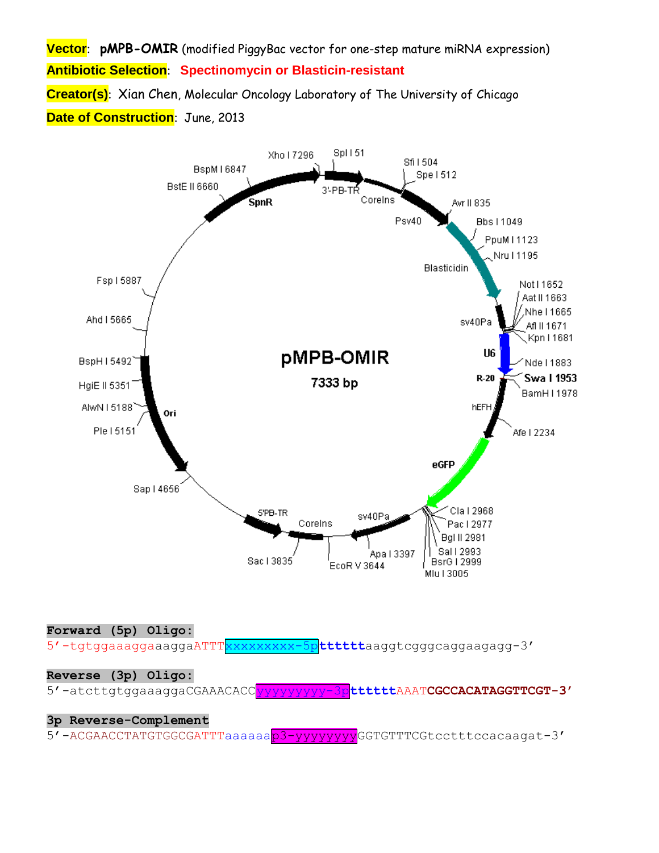**Vector**: **pMPB-OMIR** (modified PiggyBac vector for one-step mature miRNA expression) **Antibiotic Selection**: **Spectinomycin or Blasticin-resistant Creator(s)**: Xian Chen, Molecular Oncology Laboratory of The University of Chicago **Date of Construction**: June, 2013



**Forward (5p) Oligo:**

5'-tgtggaaaggaaaggaATTTxxxxxxxxx-5p**tttttt**aaggtcgggcaggaagagg-3'

## **Reverse (3p) Oligo:**

5'-atcttgtggaaaggaCGAAACACCyyyyyyyyy-3p**tttttt**AAAT**CGCCACATAGGTTCGT-3'**

## **3p Reverse-Complement**

5'-ACGAACCTATGTGGCGATTTaaaaaap3-yyyyyyyyGGTGTTTCGtcctttccacaagat-3'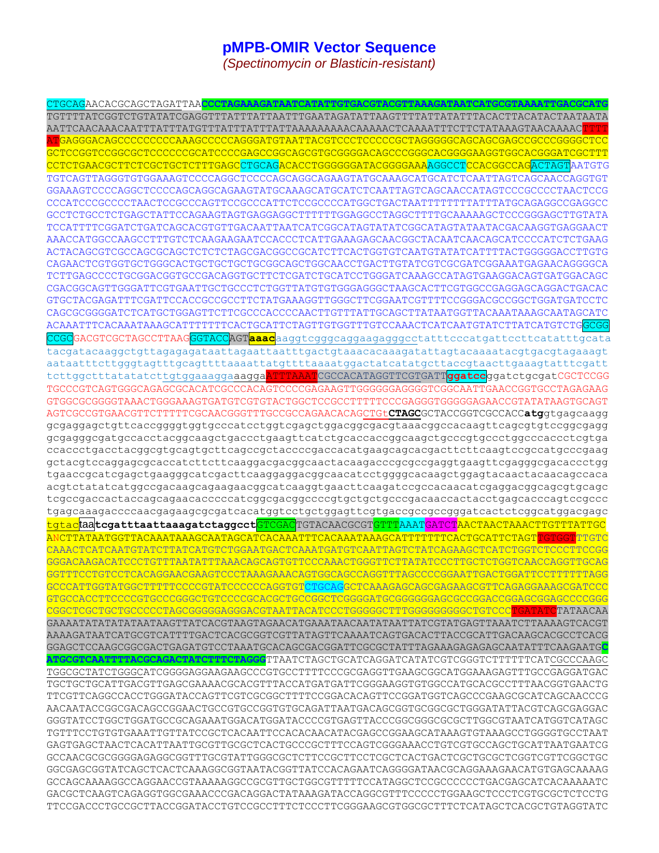## **pMPB-OMIR Vector Sequence**

*(Spectinomycin or Blasticin-resistant)*

CTGCAGAACACGCAGCTAGATTAA**CCCTAGAAAGATAATCATATTGTGACGTACGTTAAAGATAATCATGCGTAAAATTGACGCATG** TGTTTTATCGGTCTGTATATCGAGGTTTATTTATTAATTTGAATAGATATTAAGTTTTATTATATTTACACTTACATACTAATAATA AATTCAACAAACAATTTATTTATGTTTATTTATTTATTAAAAAAAAACAAAAACTCAAAATTTCTTCTATAAAGTAACAAAACTTTT ATGAGGGACAGCCCCCCCCCAAAGCCCCCAGGGATGTAATTACGTCCCTCCCCCGCTAGGGGGCAGCAGCGAGCCGCCCGGGGCTCC GCTCCGGTCCGGCGCTCCCCCCGCATCCCCGAGCCGGCAGCGTGCGGGGACAGCCCGGGCACGGGGAAGGTGGCACGGGATCGCTTT CCTCTGAACGCTTCTCGCTGCTCTTTGAGCCTGCAGACACCTGGGGGGATACGGGGAAAAGGCCTCCACGGCCAGACTAGTAATGTG TGTCAGTTAGGGTGTGGAAAGTCCCCAGGCTCCCCAGCAGGCAGAAGTATGCAAAGCATGCATCTCAATTAGTCAGCAACCAGGTGT GGAAAGTCCCCAGGCTCCCCAGCAGGCAGAAGTATGCAAAGCATGCATCTCAATTAGTCAGCAACCATAGTCCCGCCCCTAACTCCG CCCATCCCGCCCCTAACTCCGCCCAGTTCCGCCCATTCTCCGCCCCATGGCTGACTAATTTTTTTTATTTATGCAGAGGCCGAGGCC GCCTCTGCCTCTGAGCTATTCCAGAAGTAGTGAGGAGGCTTTTTTGGAGGCCTAGGCTTTTGCAAAAAGCTCCCGGGAGCTTGTATA TCCATTTTCGGATCTGATCAGCACGTGTTGACAATTAATCATCGGCATAGTATATCGGCATAGTATAATACGACAAGGTGAGGAACT AAACCATGGCCAAGCCTTTGTCTCAAGAAGAATCCACCCTCATTGAAAGAGCAACGGCTACAATCAACAGCATCCCCATCTCTGAAG ACTACAGCGTCGCCAGCGCAGCTCTCTCTAGCGACGGCCGCATCTTCACTGGTGTCAATGTATATCATTTTACTGGGGGACCTTGTG CAGAACTCGTGGTGCTGGGCACTGCTGCTGCTGCGGCAGCTGGCAACCTGACTTGTATCGTCGCGATCGGAAATGAGAACAGGGGCA TCTTGAGCCCCTGCGGACGGTGCCGACAGGTGCTTCTCGATCTGCATCCTGGGATCAAAGCCATAGTGAAGGACAGTGATGGACAGC CGACGGCAGTTGGGATTCGTGAATTGCTGCCCTCTGGTTATGTGTGGGAGGGCTAAGCACTTCGTGGCCGAGGAGCAGGACTGACAC GTGCTACGAGATTTCGATTCCACCGCCGCCTTCTATGAAAGGTTGGGCTTCGGAATCGTTTTCCGGGACGCCGGCTGGATGATCCTC CAGCGCGGGGATCTCATGCTGGAGTTCTTCGCCCACCCCAACTTGTTTATTGCAGCTTATAATGGTTACAAATAAAGCAATAGCATC ACAAATTTCACAAATAAAGCATTTTTTTCACTGCATTCTAGTTGTGGTTTGTCCAAACTCATCAATGTATCTTATCATGTCTGGCGG CCGCGACGTCGCTAGCCTTAAGGGTACCAGT**aaac**aaggtcgggcaggaagagggcctatttcccatgattccttcatatttgcata tacgatacaaggctgttagagagataattagaattaatttgactgtaaacacaaagatattagtacaaaatacgtgacgtagaaagt aataatttcttgggtagtttgcagttttaaaattatgttttaaaatggactatcatatgcttaccgtaacttgaaagtatttcgatt tcttggctttatatatcttgtggaaaggaaaggaATTTAAATCGCCACATAGGTTCGTGATT**ggatcc**ggatctgcgatCGCTCCGG TGCCCGTCAGTGGGCAGAGCGCACATCGCCCACAGTCCCCGAGAAGTTGGGGGGAGGGGTCGGCAATTGAACCGGTGCCTAGAGAAG GTGGCGCGGGGTAAACTGGGAAAGTGATGTCGTGTACTGGCTCCGCCTTTTTCCCGAGGGTGGGGGAGAACCGTATATAAGTGCAGT AGTCGCCGTGAACGTTCTTTTTCGCAACGGGTTTGCCGCCAGAACACAGCTGt**CTAGC**GCTACCGGTCGCCACC**atg**gtgagcaagg gcgaggagctgttcaccggggtggtgcccatcctggtcgagctggacggcgacgtaaacggccacaagttcagcgtgtccggcgagg gcgagggcgatgccacctacggcaagctgaccctgaagttcatctgcaccaccggcaagctgcccgtgccctggcccaccctcgtga ccaccctgacctacggcgtgcagtgcttcagccgctaccccgaccacatgaagcagcacgacttcttcaagtccgccatgcccgaag gctacgtccaggagcgcaccatcttcttcaaggacgacggcaactacaagacccgcgccgaggtgaagttcgagggcgacaccctgg tgaaccgcatcgagctgaagggcatcgacttcaaggaggacggcaacatcctggggcacaagctggagtacaactacaacagccaca acgtctatatcatggccgacaagcagaagaacggcatcaaggtgaacttcaagatccgccacaacatcgaggacggcagcgtgcagc tcgccgaccactaccagcagaacacccccatcggcgacggccccgtgctgctgcccgacaaccactacctgagcacccagtccgccc tgagcaaagaccccaacgagaagcgcgatcacatggtcctgctggagttcgtgaccgccgccgggatcactctcggcatggacgagc tgtactaa**tcgatttaattaaagatctaggcct**GTCGACTGTACAACGCGTGTTTAAATGATCTAACTAACTAAACTTGTTTATTGC ANCTTATAATGGTTACAAATAAAGCAATAGCATCACAAATTTCACAAATAAAGCATTTTTTTCACTGCATTCTAGTTGTGGTTGTG CAAACTCATCAATGTATCTTATCATGTCTGGAATGACTCAAATGATGTCAATTAGTCTATCAGAAGCTCATCTGGTCTCCCTTCCGG GGGACAAGACATCCCTGTTTAATATTTAAACAGCAGTGTTCCCAAACTGGGTTCTTATATCCCTTGCTCTGGTCAACCAGGTTGCAG GGTTTCCTGTCCTCACAGGAACGAAGTCCCTAAAGAAACAGTGGCAGCCAGGTTTAGCCCCGGAATTGACTGGATTCCTTTTTTAGG GCCCATTGGTATGGCTTTTTCCCCGTATCCCCCCAGGTGTCTGCAGGCTCAAAGAGCAGCGAGAAGCGTTCAGAGGAAAGCGATCCC GTGCCACCTTCCCCGTGCCCGGGCTGTCCCCGCACGCTGCCGGCTCGGGGATGCGGGGGGAGCGCCGGACCGGAGCGGAGCCCCGGG CGGCTCGCTGCTGCCCCCTAGCGGGGGAGGGACGTAATTACATCCCTGGGGGCTTTGGGGGGGGGCTGTCCCTGATATCTATAACAA GAAAATATATATATAATAAGTTATCACGTAAGTAGAACATGAAATAACAATATAATTATCGTATGAGTTAAATCTTAAAAGTCACGT AAAAGATAATCATGCGTCATTTTGACTCACGCGGTCGTTATAGTTCAAAATCAGTGACACTTACCGCATTGACAAGCACGCCTCACG GGAGCTCCAAGCGGCGACTGAGATGTCCTAAATGCACAGCGACGGATTCGCGCTATTTAGAAAGAGAGAGCAATATTTCAAGAATG**C ATGCGTCAATTTTACGCAGACTATCTTTCTAGGG**TTAATCTAGCTGCATCAGGATCATATCGTCGGGTCTTTTTTCATCGCCCAAGC TGGCGCTATCTGGGCATCGGGGAGGAAGAAGCCCGTGCCTTTTCCCGCGAGGTTGAAGCGGCATGGAAAGAGTTTGCCGAGGATGAC TGCTGCTGCATTGACGTTGAGCGAAAACGCACGTTTACCATGATGATTCGGGAAGGTGTGGCCATGCACGCCTTTAACGGTGAACTG TTCGTTCAGGCCACCTGGGATACCAGTTCGTCGCGGCTTTTCCGGACACAGTTCCGGATGGTCAGCCCGAAGCGCATCAGCAACCCG AACAATACCGGCGACAGCCGGAACTGCCGTGCCGGTGTGCAGATTAATGACAGCGGTGCGGCGCTGGGATATTACGTCAGCGAGGAC GGGTATCCTGGCTGGATGCCGCAGAAATGGACATGGATACCCCGTGAGTTACCCGGCGGGCGCGCTTGGCGTAATCATGGTCATAGC TGTTTCCTGTGTGAAATTGTTATCCGCTCACAATTCCACACAACATACGAGCCGGAAGCATAAAGTGTAAAGCCTGGGGTGCCTAAT GAGTGAGCTAACTCACATTAATTGCGTTGCGCTCACTGCCCGCTTTCCAGTCGGGAAACCTGTCGTGCCAGCTGCATTAATGAATCG GCCAACGCGCGGGGAGAGGCGGTTTGCGTATTGGGCGCTCTTCCGCTTCCTCGCTCACTGACTCGCTGCGCTCGGTCGTTCGGCTGC GGCGAGCGGTATCAGCTCACTCAAAGGCGGTAATACGGTTATCCACAGAATCAGGGGATAACGCAGGAAAGAACATGTGAGCAAAAG GCCAGCAAAAGGCCAGGAACCGTAAAAAGGCCGCGTTGCTGGCGTTTTTCCATAGGCTCCGCCCCCCTGACGAGCATCACAAAAATC GACGCTCAAGTCAGAGGTGGCGAAACCCGACAGGACTATAAAGATACCAGGCGTTTCCCCCTGGAAGCTCCCTCGTGCGCTCTCCTG TTCCGACCCTGCCGCTTACCGGATACCTGTCCGCCTTTCTCCCTTCGGGAAGCGTGGCGCTTTCTCATAGCTCACGCTGTAGGTATC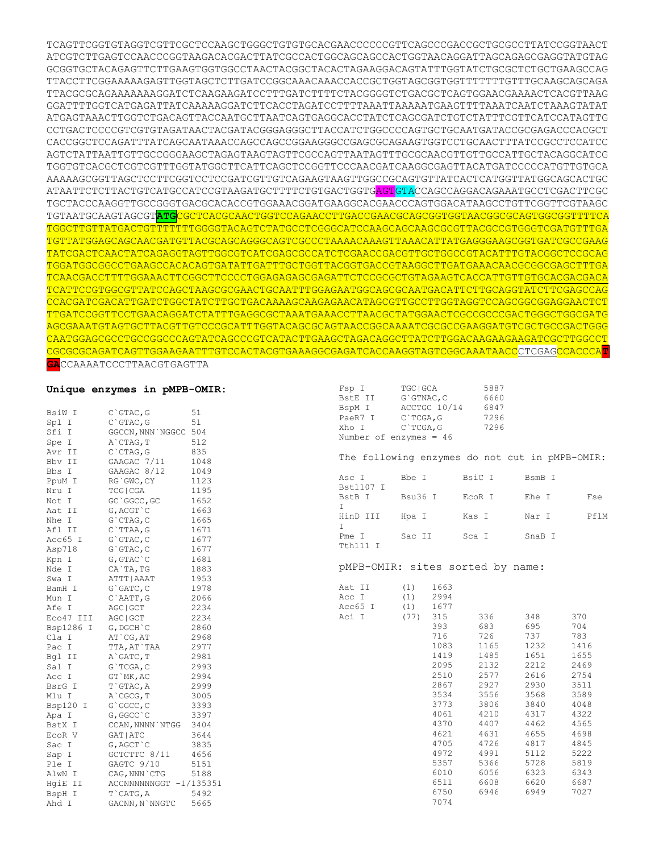TCAGTTCGGTGTAGGTCGTTCGCTCCAAGCTGGGCTGTGTGCACGAACCCCCCGTTCAGCCCGACCGCTGCGCCTTATCCGGTAACT ATCGTCTTGAGTCCAACCCGGTAAGACACGACTTATCGCCACTGGCAGCAGCCACTGGTAACAGGATTAGCAGAGCGAGGTATGTAG GCGGTGCTACAGAGTTCTTGAAGTGGTGGCCTAACTACGGCTACACTAGAAGGACAGTATTTGGTATCTGCGCTCTGCTGAAGCCAG TTACCTTCGGAAAAAGAGTTGGTAGCTCTTGATCCGGCAAACAAACCACCGCTGGTAGCGGTGGTTTTTTTGTTTGCAAGCAGCAGA TTACGCGCAGAAAAAAAGGATCTCAAGAAGATCCTTTGATCTTTTCTACGGGGTCTGACGCTCAGTGGAACGAAAACTCACGTTAAG GGATTTTGGTCATGAGATTATCAAAAAGGATCTTCACCTAGATCCTTTTAAATTAAAAATGAAGTTTTAAATCAATCTAAAGTATAT ATGAGTAAACTTGGTCTGACAGTTACCAATGCTTAATCAGTGAGGCACCTATCTCAGCGATCTGTCTATTTCGTTCATCCATAGTTG CCTGACTCCCCGTCGTGTAGATAACTACGATACGGGAGGGCTTACCATCTGGCCCCAGTGCTGCAATGATACCGCGAGACCCACGCT CACCGGCTCCAGATTTATCAGCAATAAACCAGCCAGCCGGAAGGGCCGAGCGCAGAAGTGGTCCTGCAACTTTATCCGCCTCCATCC AGTCTATTAATTGTTGCCGGGAAGCTAGAGTAAGTAGTTCGCCAGTTAATAGTTTGCGCAACGTTGTTGCCATTGCTACAGGCATCG TGGTGTCACGCTCGTCGTTTGGTATGGCTTCATTCAGCTCCGGTTCCCAACGATCAAGGCGAGTTACATGATCCCCCATGTTGTGCA AAAAAGCGGTTAGCTCCTTCGGTCCTCCGATCGTTGTCAGAAGTAAGTTGGCCGCAGTGTTATCACTCATGGTTATGGCAGCACTGC ATAATTCTCTTACTGTCATGCCATCCGTAAGATGCTTTTCTGTGACTGGTGAGTGTACCAGCCAGGACAGAAATGCCTCGACTTCGC TGCTACCCAAGGTTGCCGGGTGACGCACACCGTGGAAACGGATGAAGGCACGAACCCAGTGGACATAAGCCTGTTCGGTTCGTAAGC TGTAATGCAAGTAGCGT**ATG**CGCTCACGCAACTGGTCCAGAACCTTGACCGAACGCAGCGGTGGTAACGGCGCAGTGGCGGTTTTCA TGGCTTGTTATGACTGTTTTTTTGGGGTACAGTCTATGCCTCGGGCATCCAAGCAGCAAGCGCGTTACGCCGTGGGTCGATGTTTGA TGTTATGGAGCAGCAACGATGTTACGCAGCAGGGCAGTCGCCCTAAAACAAAGTTAAACATTATGAGGGAAGCGGTGATCGCCGAAG TATCGACTCAACTATCAGAGGTAGTTGGCGTCATCGAGCGCCATCTCGAACCGACGTTGCTGGCCGTACATTTGTACGGCTCCGCAG TGGATGGCGGCCTGAAGCCACACAGTGATATTGATTTGCTGGTTACGGTGACCGTAAGGCTTGATGAAACAACGCGGCGAGCTTTGA TCAACGACCTTTTGGAAACTTCGGCTTCCCCTGGAGAGAGCGAGATTCTCCGCGCTGTAGAAGTCACCATTGTTGTGCACGACGACA TCATTCCGTGGCGTTATCCAGCTAAGCGCGAACTGCAATTTGGAGAATGGCAGCGCAATGACATTCTTGCAGGTATCTTCGAGCCAG CCACGATCGACATTGATCTGGCTATCTTGCTGACAAAAGCAAGAGAACATAGCGTTGCCTTGGTAGGTCCAGCGGCGGAGGAACTCT TTGATCCGGTTCCTGAACAGGATCTATTTGAGGCGCTAAATGAAACCTTAACGCTATGGAACTCGCCGCCCGACTGGGCTGGCGATG AGCGAAATGTAGTGCTTACGTTGTCCCGCATTTGGTACAGCGCAGTAACCGGCAAAATCGCGCCGAAGGATGTCGCTGCCGACTGGG CAATGGAGCGCCTGCCGGCCCAGTATCAGCCCGTCATACTTGAAGCTAGACAGGCTTATCTTGGACAAGAAGAAGATCGCTTGGCCT CGCGCGCAGATCAGTTGGAAGAATTTGTCCACTACGTGAAAGGCGAGATCACCAAGGTAGTCGGCAAATAACCCTCGAGCCACCCA**T**

Fsp I TGCIGCA 5887

**GA**CCAAAATCCCTTAACGTGAGTTA

## **Unique enzymes in pMPB-OMIR:**

|           | $\sum_{i=1}^{n}$                           |      | BstE II                                        | G`GTNAC, C  |              |        | 6660   |        |      |
|-----------|--------------------------------------------|------|------------------------------------------------|-------------|--------------|--------|--------|--------|------|
| BsiW I    | $C$ GTAC, G                                | 51   | BspM I                                         |             | ACCTGC 10/14 |        | 6847   |        |      |
| Spl I     | $C$ GTAC, G                                | 51   | PaeR7 I                                        | $C$ TCGA, G |              |        | 7296   |        |      |
| Sfi I     | GGCCN, NNN NGGCC 504                       |      | Xho I                                          |             | C`TCGA, G    |        | 7296   |        |      |
| Spe I     | A`CTAG, T                                  | 512  | Number of enzymes = $46$                       |             |              |        |        |        |      |
| Avr II    | $C$ $CTAG$ , $G$                           | 835  |                                                |             |              |        |        |        |      |
| Bbv II    | GAAGAC 7/11                                | 1048 | The following enzymes do not cut in pMPB-OMIR: |             |              |        |        |        |      |
| Bbs I     | GAAGAC 8/12                                | 1049 |                                                |             |              |        |        |        |      |
| PpuM I    | RG`GWC, CY                                 | 1123 | Asc I                                          | Bbe I       |              | BsiC I |        | BsmB I |      |
| Nru I     | TCG   CGA                                  | 1195 | Bst1107 I                                      |             |              |        |        |        |      |
| Not I     | GC`GGCC,GC                                 | 1652 | BstB I                                         |             | Bsu36 I      |        | EcoR I | Ehe I  | Fse  |
| Aat II    | G, ACGT `C                                 | 1663 | $\top$                                         |             |              |        |        |        |      |
| Nhe I     | G`CTAG, C                                  | 1665 | HinD III                                       | Hpa I       |              | Kas I  |        | Nar I  | PflM |
| Afl II    | C`TTAA,G                                   | 1671 | $\mathbb{I}$                                   |             |              |        |        |        |      |
| Acc65 I   | G`GTAC, C                                  | 1677 | Pme I                                          |             | Sac II       | Sca I  |        | SnaB I |      |
| Asp718    | $G$ `GTAC, C                               | 1677 | Tth111 I                                       |             |              |        |        |        |      |
| Kpn I     | G, GTAC`C                                  | 1681 |                                                |             |              |        |        |        |      |
| Nde I     | CA`TA,TG                                   | 1883 | pMPB-OMIR: sites sorted by name:               |             |              |        |        |        |      |
| Swa I     | ATTT   AAAT                                | 1953 |                                                |             |              |        |        |        |      |
| BamH I    | G`GATC, C                                  | 1978 | Aat II                                         | (1)         | 1663         |        |        |        |      |
| Mun I     | C`AATT, G                                  | 2066 | Acc I                                          | (1)         | 2994         |        |        |        |      |
| Afe I     | AGC   GCT                                  | 2234 | Acc65 I                                        |             | $(1)$ 1677   |        |        |        |      |
| Eco47 III | AGC   GCT                                  | 2234 | Aci I                                          | $(77)$ 315  |              |        | 336    | 348    | 370  |
| Bsp1286 I | G, DGCH`C                                  | 2860 |                                                |             | 393          |        | 683    | 695    | 704  |
| Cla I     | AT `CG, AT                                 | 2968 |                                                |             | 716          |        | 726    | 737    | 783  |
| Pac I     | TTA, AT`TAA                                | 2977 |                                                |             | 1083         |        | 1165   | 1232   | 1416 |
| Bql II    | A`GATC, T                                  | 2981 |                                                |             | 1419         |        | 1485   | 1651   | 1655 |
| Sal I     | $G \upharpoonright$ TCGA, C                | 2993 |                                                |             | 2095         |        | 2132   | 2212   | 2469 |
| Acc I     | GT`MK, AC                                  | 2994 |                                                |             | 2510         |        | 2577   | 2616   | 2754 |
| BsrG I    | T`GTAC, A                                  | 2999 |                                                |             | 2867         |        | 2927   | 2930   | 3511 |
| Mlu I     | A`CGCG, T                                  | 3005 |                                                |             | 3534         |        | 3556   | 3568   | 3589 |
| Bsp120 I  | G`GGCC, C                                  | 3393 |                                                |             | 3773         |        | 3806   | 3840   | 4048 |
| Apa I     | G, GGCC`C                                  | 3397 |                                                |             | 4061         |        | 4210   | 4317   | 4322 |
| BstX I    | CCAN, NNNN NTGG 3404                       |      |                                                |             | 4370         |        | 4407   | 4462   | 4565 |
| ECOR V    | GAT   ATC                                  | 3644 |                                                |             | 4621         |        | 4631   | 4655   | 4698 |
| Sac I     | G, AGCT`C                                  | 3835 |                                                |             | 4705         |        | 4726   | 4817   | 4845 |
| Sap I     | GCTCTTC 8/11                               | 4656 |                                                |             | 4972         |        | 4991   | 5112   | 5222 |
| Ple I     | GAGTC 9/10                                 | 5151 |                                                |             | 5357         |        | 5366   | 5728   | 5819 |
| AlwN I    | CAG,NNN`CTG 5188<br>ACCNNNNNNGGT -1/135351 |      |                                                |             | 6010         |        | 6056   | 6323   | 6343 |
| HqiE II   |                                            |      |                                                |             | 6511         |        | 6608   | 6620   | 6687 |
| BspH I    | T`CATG, A                                  | 5492 |                                                |             | 6750         |        | 6946   | 6949   | 7027 |
| Ahd I     | GACNN, N`NNGTC                             | 5665 |                                                |             | 7074         |        |        |        |      |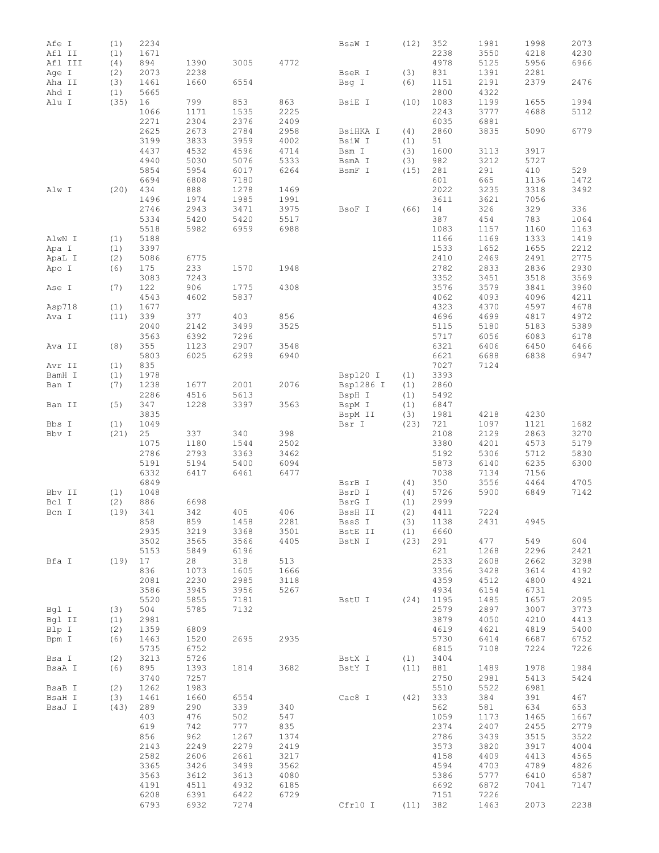| Afe I   | (1)  | 2234 |      |      |      | BsaW I    | (12) | 352  | 1981 | 1998 | 2073 |
|---------|------|------|------|------|------|-----------|------|------|------|------|------|
| Afl II  | (1)  | 1671 |      |      |      |           |      | 2238 | 3550 | 4218 | 4230 |
| Afl III | (4)  | 894  | 1390 | 3005 | 4772 |           |      | 4978 | 5125 | 5956 | 6966 |
|         |      | 2073 | 2238 |      |      |           |      | 831  | 1391 | 2281 |      |
| Age I   | (2)  |      |      |      |      | BseR I    | (3)  |      |      |      |      |
| Aha II  | (3)  | 1461 | 1660 | 6554 |      | Bsg I     | (6)  | 1151 | 2191 | 2379 | 2476 |
| Ahd I   | (1)  | 5665 |      |      |      |           |      | 2800 | 4322 |      |      |
| Alu I   | (35) | 16   | 799  | 853  | 863  | BsiE I    | (10) | 1083 | 1199 | 1655 | 1994 |
|         |      | 1066 | 1171 | 1535 | 2225 |           |      | 2243 | 3777 | 4688 | 5112 |
|         |      | 2271 | 2304 | 2376 | 2409 |           |      | 6035 | 6881 |      |      |
|         |      | 2625 | 2673 | 2784 | 2958 | BsiHKA I  | (4)  | 2860 | 3835 | 5090 | 6779 |
|         |      | 3199 | 3833 | 3959 | 4002 | BsiW I    | (1)  | 51   |      |      |      |
|         |      | 4437 | 4532 | 4596 | 4714 | Bsm I     | (3)  | 1600 | 3113 | 3917 |      |
|         |      | 4940 | 5030 | 5076 | 5333 | BsmA I    | (3)  | 982  | 3212 | 5727 |      |
|         |      | 5854 | 5954 | 6017 | 6264 | BsmF I    | (15) | 281  | 291  | 410  | 529  |
|         |      |      |      |      |      |           |      |      |      |      |      |
|         |      | 6694 | 6808 | 7180 |      |           |      | 601  | 665  | 1136 | 1472 |
| Alw I   | (20) | 434  | 888  | 1278 | 1469 |           |      | 2022 | 3235 | 3318 | 3492 |
|         |      | 1496 | 1974 | 1985 | 1991 |           |      | 3611 | 3621 | 7056 |      |
|         |      | 2746 | 2943 | 3471 | 3975 | BsoF I    | (66) | 14   | 326  | 329  | 336  |
|         |      | 5334 | 5420 | 5420 | 5517 |           |      | 387  | 454  | 783  | 1064 |
|         |      | 5518 | 5982 | 6959 | 6988 |           |      | 1083 | 1157 | 1160 | 1163 |
| AlwN I  | (1)  | 5188 |      |      |      |           |      | 1166 | 1169 | 1333 | 1419 |
| Apa I   | (1)  | 3397 |      |      |      |           |      | 1533 | 1652 | 1655 | 2212 |
| ApaL I  | (2)  | 5086 | 6775 |      |      |           |      | 2410 | 2469 | 2491 | 2775 |
| Apo I   | (6)  | 175  | 233  | 1570 | 1948 |           |      | 2782 | 2833 | 2836 | 2930 |
|         |      |      |      |      |      |           |      |      |      |      |      |
|         |      | 3083 | 7243 |      |      |           |      | 3352 | 3451 | 3518 | 3569 |
| Ase I   | (7)  | 122  | 906  | 1775 | 4308 |           |      | 3576 | 3579 | 3841 | 3960 |
|         |      | 4543 | 4602 | 5837 |      |           |      | 4062 | 4093 | 4096 | 4211 |
| Asp718  | (1)  | 1677 |      |      |      |           |      | 4323 | 4370 | 4597 | 4678 |
| Ava I   | (11) | 339  | 377  | 403  | 856  |           |      | 4696 | 4699 | 4817 | 4972 |
|         |      | 2040 | 2142 | 3499 | 3525 |           |      | 5115 | 5180 | 5183 | 5389 |
|         |      | 3563 | 6392 | 7296 |      |           |      | 5717 | 6056 | 6083 | 6178 |
| Ava II  | (8)  | 355  | 1123 | 2907 | 3548 |           |      | 6321 | 6406 | 6450 | 6466 |
|         |      | 5803 | 6025 | 6299 | 6940 |           |      | 6621 | 6688 | 6838 | 6947 |
|         |      |      |      |      |      |           |      |      |      |      |      |
| Avr II  | (1)  | 835  |      |      |      |           |      | 7027 | 7124 |      |      |
| BamH I  | (1)  | 1978 |      |      |      | Bsp120 I  | (1)  | 3393 |      |      |      |
| Ban I   | (7)  | 1238 | 1677 | 2001 | 2076 | Bsp1286 I | (1)  | 2860 |      |      |      |
|         |      | 2286 | 4516 | 5613 |      | BspH I    | (1)  | 5492 |      |      |      |
| Ban II  | (5)  | 347  | 1228 | 3397 | 3563 | BspM I    | (1)  | 6847 |      |      |      |
|         |      | 3835 |      |      |      | BspM II   | (3)  | 1981 | 4218 | 4230 |      |
| Bbs I   | (1)  | 1049 |      |      |      | Bsr I     | (23) | 721  | 1097 | 1121 | 1682 |
| Bbv I   | (21) | 25   | 337  | 340  | 398  |           |      | 2108 | 2129 | 2863 | 3270 |
|         |      | 1075 | 1180 | 1544 | 2502 |           |      | 3380 | 4201 | 4573 | 5179 |
|         |      | 2786 | 2793 | 3363 | 3462 |           |      | 5192 | 5306 | 5712 | 5830 |
|         |      | 5191 | 5194 | 5400 | 6094 |           |      | 5873 | 6140 | 6235 | 6300 |
|         |      |      |      |      |      |           |      |      |      |      |      |
|         |      | 6332 | 6417 | 6461 | 6477 |           |      | 7038 | 7134 | 7156 |      |
|         |      | 6849 |      |      |      | BsrB I    | (4)  | 350  | 3556 | 4464 | 4705 |
| Bbv II  | (1)  | 1048 |      |      |      | BsrD I    | (4)  | 5726 | 5900 | 6849 | 7142 |
| Bcl I   | (2)  | 886  | 6698 |      |      | BsrG I    | (1)  | 2999 |      |      |      |
| Bcn I   | (19) | 341  | 342  | 405  | 406  | BssH II   | (2)  | 4411 | 7224 |      |      |
|         |      | 858  | 859  | 1458 | 2281 | BssS I    | (3)  | 1138 | 2431 | 4945 |      |
|         |      | 2935 | 3219 | 3368 | 3501 | BstE II   | (1)  | 6660 |      |      |      |
|         |      | 3502 | 3565 | 3566 | 4405 | BstN I    | (23) | 291  | 477  | 549  | 604  |
|         |      | 5153 | 5849 | 6196 |      |           |      | 621  | 1268 | 2296 | 2421 |
| Bfa I   | (19) | 17   | 28   | 318  | 513  |           |      | 2533 | 2608 | 2662 | 3298 |
|         |      | 836  | 1073 | 1605 | 1666 |           |      | 3356 | 3428 | 3614 | 4192 |
|         |      |      |      |      |      |           |      |      |      |      |      |
|         |      | 2081 | 2230 | 2985 | 3118 |           |      | 4359 | 4512 | 4800 | 4921 |
|         |      | 3586 | 3945 | 3956 | 5267 |           |      | 4934 | 6154 | 6731 |      |
|         |      | 5520 | 5855 | 7181 |      | BstU I    | (24) | 1195 | 1485 | 1657 | 2095 |
| Bql I   | (3)  | 504  | 5785 | 7132 |      |           |      | 2579 | 2897 | 3007 | 3773 |
| Bgl II  | (1)  | 2981 |      |      |      |           |      | 3879 | 4050 | 4210 | 4413 |
| Blp I   | (2)  | 1359 | 6809 |      |      |           |      | 4619 | 4621 | 4819 | 5400 |
| Bpm I   | (6)  | 1463 | 1520 | 2695 | 2935 |           |      | 5730 | 6414 | 6687 | 6752 |
|         |      | 5735 | 6752 |      |      |           |      | 6815 | 7108 | 7224 | 7226 |
| Bsa I   | (2)  | 3213 | 5726 |      |      | BstX I    | (1)  | 3404 |      |      |      |
| BsaA I  | (6)  | 895  | 1393 | 1814 | 3682 | BstY I    | (11) | 881  | 1489 | 1978 | 1984 |
|         |      |      |      |      |      |           |      |      |      |      |      |
|         |      | 3740 | 7257 |      |      |           |      | 2750 | 2981 | 5413 | 5424 |
| BsaB I  | (2)  | 1262 | 1983 |      |      |           |      | 5510 | 5522 | 6981 |      |
| BsaH I  | (3)  | 1461 | 1660 | 6554 |      | Cac8 I    | (42) | 333  | 384  | 391  | 467  |
| BsaJ I  | (43) | 289  | 290  | 339  | 340  |           |      | 562  | 581  | 634  | 653  |
|         |      | 403  | 476  | 502  | 547  |           |      | 1059 | 1173 | 1465 | 1667 |
|         |      | 619  | 742  | 777  | 835  |           |      | 2374 | 2407 | 2455 | 2779 |
|         |      | 856  | 962  | 1267 | 1374 |           |      | 2786 | 3439 | 3515 | 3522 |
|         |      | 2143 | 2249 | 2279 | 2419 |           |      | 3573 | 3820 | 3917 | 4004 |
|         |      | 2582 | 2606 | 2661 | 3217 |           |      | 4158 | 4409 | 4413 | 4565 |
|         |      | 3365 | 3426 | 3499 | 3562 |           |      | 4594 | 4703 | 4789 | 4826 |
|         |      | 3563 | 3612 | 3613 | 4080 |           |      | 5386 | 5777 | 6410 | 6587 |
|         |      |      |      |      |      |           |      |      |      |      |      |
|         |      | 4191 | 4511 | 4932 | 6185 |           |      | 6692 | 6872 | 7041 | 7147 |
|         |      | 6208 | 6391 | 6422 | 6729 |           |      | 7151 | 7226 |      |      |
|         |      | 6793 | 6932 | 7274 |      | Cfr10 I   | (11) | 382  | 1463 | 2073 | 2238 |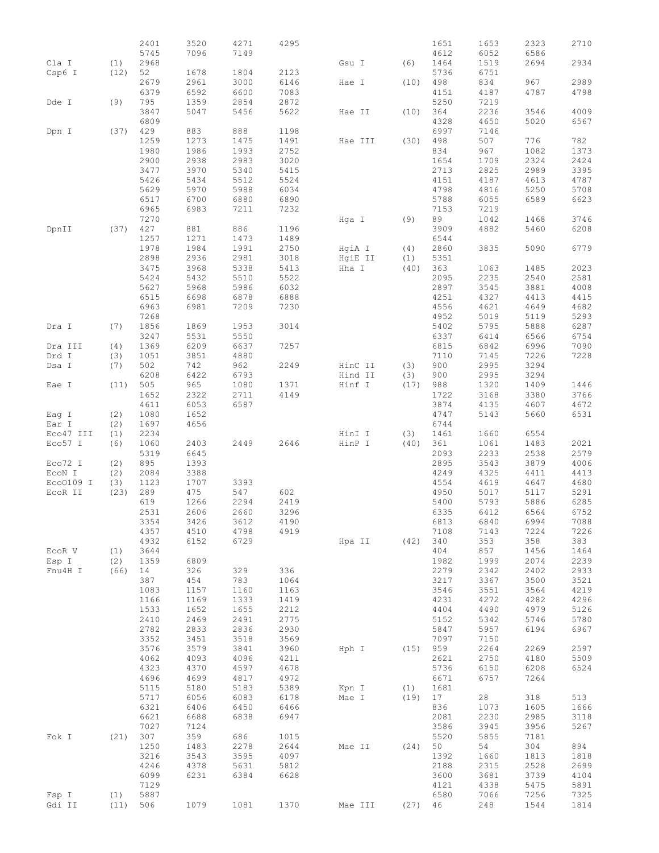|                    |             | 2401         | 3520         | 4271         | 4295         |                  |             | 1651         | 1653         | 2323         | 2710         |
|--------------------|-------------|--------------|--------------|--------------|--------------|------------------|-------------|--------------|--------------|--------------|--------------|
|                    |             | 5745         | 7096         | 7149         |              |                  |             | 4612         | 6052         | 6586         |              |
| Cla I              | (1)         | 2968         |              |              |              | Gsu I            | (6)         | 1464         | 1519         | 2694         | 2934         |
| Csp6 I             | (12)        | 52           | 1678         | 1804         | 2123         |                  |             | 5736         | 6751         |              |              |
|                    |             | 2679         | 2961         | 3000         | 6146         | Hae I            | (10)        | 498          | 834          | 967          | 2989         |
|                    |             | 6379         | 6592         | 6600         | 7083         |                  |             | 4151         | 4187         | 4787         | 4798         |
| Dde I              | (9)         | 795          | 1359         | 2854         | 2872         |                  |             | 5250         | 7219         |              |              |
|                    |             | 3847         | 5047         | 5456         | 5622         | Hae II           | (10)        | 364          | 2236         | 3546         | 4009         |
|                    |             | 6809         |              |              |              |                  |             | 4328         | 4650         | 5020         | 6567         |
| Dpn I              | (37)        | 429<br>1259  | 883          | 888          | 1198         |                  |             | 6997<br>498  | 7146<br>507  | 776          |              |
|                    |             | 1980         | 1273<br>1986 | 1475<br>1993 | 1491<br>2752 | Hae III          | (30)        | 834          | 967          | 1082         | 782<br>1373  |
|                    |             | 2900         | 2938         | 2983         | 3020         |                  |             | 1654         | 1709         | 2324         | 2424         |
|                    |             | 3477         | 3970         | 5340         | 5415         |                  |             | 2713         | 2825         | 2989         | 3395         |
|                    |             | 5426         | 5434         | 5512         | 5524         |                  |             | 4151         | 4187         | 4613         | 4787         |
|                    |             | 5629         | 5970         | 5988         | 6034         |                  |             | 4798         | 4816         | 5250         | 5708         |
|                    |             | 6517         | 6700         | 6880         | 6890         |                  |             | 5788         | 6055         | 6589         | 6623         |
|                    |             | 6965         | 6983         | 7211         | 7232         |                  |             | 7153         | 7219         |              |              |
|                    |             | 7270         |              |              |              | Hga I            | (9)         | 89           | 1042         | 1468         | 3746         |
| DpnII              | (37)        | 427          | 881          | 886          | 1196         |                  |             | 3909         | 4882         | 5460         | 6208         |
|                    |             | 1257         | 1271         | 1473         | 1489         |                  |             | 6544         |              |              |              |
|                    |             | 1978         | 1984         | 1991         | 2750         | HgiA I           | (4)         | 2860         | 3835         | 5090         | 6779         |
|                    |             | 2898         | 2936         | 2981         | 3018         | HgiE II          | (1)         | 5351         |              |              |              |
|                    |             | 3475         | 3968         | 5338         | 5413         | Hha I            | (40)        | 363          | 1063         | 1485         | 2023         |
|                    |             | 5424         | 5432         | 5510         | 5522         |                  |             | 2095         | 2235         | 2540         | 2581         |
|                    |             | 5627<br>6515 | 5968<br>6698 | 5986<br>6878 | 6032<br>6888 |                  |             | 2897<br>4251 | 3545<br>4327 | 3881<br>4413 | 4008<br>4415 |
|                    |             | 6963         | 6981         | 7209         | 7230         |                  |             | 4556         | 4621         | 4649         | 4682         |
|                    |             | 7268         |              |              |              |                  |             | 4952         | 5019         | 5119         | 5293         |
| Dra I              | (7)         | 1856         | 1869         | 1953         | 3014         |                  |             | 5402         | 5795         | 5888         | 6287         |
|                    |             | 3247         | 5531         | 5550         |              |                  |             | 6337         | 6414         | 6566         | 6754         |
| Dra III            | (4)         | 1369         | 6209         | 6637         | 7257         |                  |             | 6815         | 6842         | 6996         | 7090         |
| Drd I              | (3)         | 1051         | 3851         | 4880         |              |                  |             | 7110         | 7145         | 7226         | 7228         |
| Dsa I              | (7)         | 502          | 742          | 962          | 2249         | HinC II          | (3)         | 900          | 2995         | 3294         |              |
|                    |             | 6208         | 6422         | 6793         |              | Hind II          | (3)         | 900          | 2995         | 3294         |              |
| Eae I              | (11)        | 505          | 965          | 1080         | 1371         | Hinf I           | (17)        | 988          | 1320         | 1409         | 1446         |
|                    |             | 1652         | 2322         | 2711         | 4149         |                  |             | 1722         | 3168         | 3380         | 3766         |
|                    |             | 4611         | 6053         | 6587         |              |                  |             | 3874         | 4135         | 4607         | 4672         |
| Eag I              | (2)         | 1080         | 1652         |              |              |                  |             | 4747         | 5143         | 5660         | 6531         |
| Ear I<br>Eco47 III | (2)<br>(1)  | 1697<br>2234 | 4656         |              |              |                  | (3)         | 6744<br>1461 | 1660         | 6554         |              |
| Eco57 I            | (6)         | 1060         | 2403         | 2449         | 2646         | HinI I<br>HinP I | (40)        | 361          | 1061         | 1483         | 2021         |
|                    |             | 5319         | 6645         |              |              |                  |             | 2093         | 2233         | 2538         | 2579         |
| Eco72 I            | (2)         | 895          | 1393         |              |              |                  |             | 2895         | 3543         | 3879         | 4006         |
| ECON I             | (2)         | 2084         | 3388         |              |              |                  |             | 4249         | 4325         | 4411         | 4413         |
| Eco0109 I          | (3)         | 1123         | 1707         | 3393         |              |                  |             | 4554         | 4619         | 4647         | 4680         |
| ECOR II            | (23)        | 289          | 475          | 547          | 602          |                  |             | 4950         | 5017         | 5117         | 5291         |
|                    |             | 619          | 1266         | 2294         | 2419         |                  |             | 5400         | 5793         | 5886         | 6285         |
|                    |             | 2531         | 2606         | 2660         | 3296         |                  |             | 6335         | 6412         | 6564         | 6752         |
|                    |             | 3354         | 3426         | 3612         | 4190         |                  |             | 6813         | 6840         | 6994         | 7088         |
|                    |             | 4357         | 4510         | 4798         | 4919         |                  |             | 7108         | 7143         | 7224         | 7226         |
|                    |             | 4932         | 6152         | 6729         |              | Hpa II           | (42)        | 340          | 353          | 358          | 383          |
| ECOR V             | (1)         | 3644<br>1359 | 6809         |              |              |                  |             | 404<br>1982  | 857<br>1999  | 1456<br>2074 | 1464<br>2239 |
| Esp I<br>Fnu4H I   | (2)<br>(66) | 14           | 326          | 329          | 336          |                  |             | 2279         | 2342         | 2402         | 2933         |
|                    |             | 387          | 454          | 783          | 1064         |                  |             | 3217         | 3367         | 3500         | 3521         |
|                    |             | 1083         | 1157         | 1160         | 1163         |                  |             | 3546         | 3551         | 3564         | 4219         |
|                    |             | 1166         | 1169         | 1333         | 1419         |                  |             | 4231         | 4272         | 4282         | 4296         |
|                    |             | 1533         | 1652         | 1655         | 2212         |                  |             | 4404         | 4490         | 4979         | 5126         |
|                    |             | 2410         | 2469         | 2491         | 2775         |                  |             | 5152         | 5342         | 5746         | 5780         |
|                    |             | 2782         | 2833         | 2836         | 2930         |                  |             | 5847         | 5957         | 6194         | 6967         |
|                    |             | 3352         | 3451         | 3518         | 3569         |                  |             | 7097         | 7150         |              |              |
|                    |             | 3576         | 3579         | 3841         | 3960         | Hph I            | (15)        | 959          | 2264         | 2269         | 2597         |
|                    |             | 4062         | 4093         | 4096         | 4211         |                  |             | 2621         | 2750         | 4180         | 5509         |
|                    |             | 4323         | 4370         | 4597         | 4678         |                  |             | 5736         | 6150         | 6208         | 6524         |
|                    |             | 4696         | 4699         | 4817         | 4972         |                  |             | 6671         | 6757         | 7264         |              |
|                    |             | 5115<br>5717 | 5180<br>6056 | 5183<br>6083 | 5389<br>6178 | Kpn I<br>Mae I   | (1)<br>(19) | 1681<br>17   | 28           | 318          | 513          |
|                    |             | 6321         | 6406         | 6450         | 6466         |                  |             | 836          | 1073         | 1605         | 1666         |
|                    |             | 6621         | 6688         | 6838         | 6947         |                  |             | 2081         | 2230         | 2985         | 3118         |
|                    |             | 7027         | 7124         |              |              |                  |             | 3586         | 3945         | 3956         | 5267         |
| Fok I              | (21)        | 307          | 359          | 686          | 1015         |                  |             | 5520         | 5855         | 7181         |              |
|                    |             | 1250         | 1483         | 2278         | 2644         | Mae II           | (24)        | 50           | 54           | 304          | 894          |
|                    |             | 3216         | 3543         | 3595         | 4097         |                  |             | 1392         | 1660         | 1813         | 1818         |
|                    |             | 4246         | 4378         | 5631         | 5812         |                  |             | 2188         | 2315         | 2528         | 2699         |
|                    |             | 6099         | 6231         | 6384         | 6628         |                  |             | 3600         | 3681         | 3739         | 4104         |
|                    |             | 7129         |              |              |              |                  |             | 4121         | 4338         | 5475         | 5891         |
| Fsp I              | (1)         | 5887         |              |              |              |                  |             | 6580         | 7066         | 7256         | 7325         |
| Gdi II             | (11)        | 506          | 1079         | 1081         | 1370         | Mae III          | (27)        | 46           | 248          | 1544         | 1814         |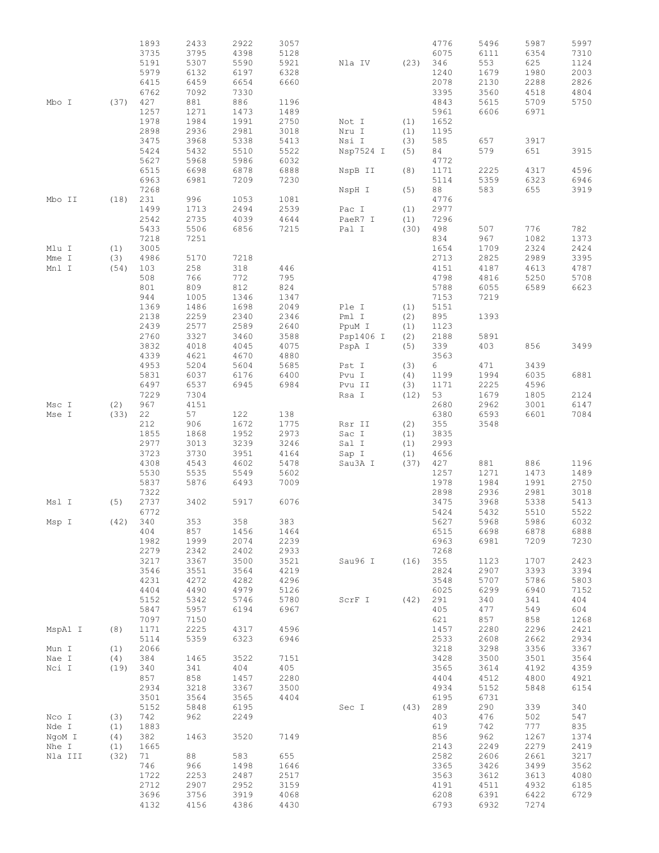|         |           | 1893     | 2433 | 2922 | 3057 |                  |            | 4776 | 5496 | 5987 | 5997 |
|---------|-----------|----------|------|------|------|------------------|------------|------|------|------|------|
|         |           | 3735     | 3795 | 4398 | 5128 |                  |            | 6075 | 6111 | 6354 | 7310 |
|         |           | 5191     | 5307 | 5590 | 5921 | Nla IV           | (23)       | 346  | 553  | 625  | 1124 |
|         |           | 5979     | 6132 | 6197 | 6328 |                  |            | 1240 | 1679 | 1980 | 2003 |
|         |           | 6415     | 6459 | 6654 | 6660 |                  |            | 2078 | 2130 | 2288 | 2826 |
|         |           | 6762     | 7092 | 7330 |      |                  |            | 3395 | 3560 | 4518 | 4804 |
| Mbo I   | (37)      | 427      | 881  | 886  | 1196 |                  |            | 4843 | 5615 | 5709 | 5750 |
|         |           | 1257     | 1271 | 1473 | 1489 |                  |            | 5961 | 6606 | 6971 |      |
|         |           | 1978     | 1984 | 1991 | 2750 | Not I            | (1)        | 1652 |      |      |      |
|         |           | 2898     | 2936 | 2981 |      |                  |            |      |      |      |      |
|         |           |          |      |      | 3018 | Nru I            | (1)        | 1195 |      |      |      |
|         |           | 3475     | 3968 | 5338 | 5413 | Nsi I            | (3)        | 585  | 657  | 3917 |      |
|         |           | 5424     | 5432 | 5510 | 5522 | Nsp7524 I        | (5)        | 84   | 579  | 651  | 3915 |
|         |           | 5627     | 5968 | 5986 | 6032 |                  |            | 4772 |      |      |      |
|         |           | 6515     | 6698 | 6878 | 6888 | NspB II          | (8)        | 1171 | 2225 | 4317 | 4596 |
|         |           | 6963     | 6981 | 7209 | 7230 |                  |            | 5114 | 5359 | 6323 | 6946 |
|         |           | 7268     |      |      |      | NspH I           | (5)        | 88   | 583  | 655  | 3919 |
| Mbo II  | (18)      | 231      | 996  | 1053 | 1081 |                  |            | 4776 |      |      |      |
|         |           | 1499     | 1713 | 2494 | 2539 | Pac I            | (1)        | 2977 |      |      |      |
|         |           | 2542     | 2735 | 4039 | 4644 | PaeR7 I          | (1)        | 7296 |      |      |      |
|         |           | 5433     | 5506 | 6856 | 7215 | Pal I            | (30)       | 498  | 507  | 776  | 782  |
|         |           | 7218     | 7251 |      |      |                  |            | 834  | 967  | 1082 | 1373 |
| Mlu I   | (1)       | 3005     |      |      |      |                  |            | 1654 | 1709 | 2324 | 2424 |
| Mme I   | (3)       | 4986     | 5170 | 7218 |      |                  |            | 2713 | 2825 | 2989 | 3395 |
| Mnl I   | (54)      | 103      | 258  | 318  | 446  |                  |            | 4151 | 4187 | 4613 | 4787 |
|         |           | 508      | 766  | 772  | 795  |                  |            | 4798 | 4816 | 5250 | 5708 |
|         |           | 801      | 809  | 812  | 824  |                  |            | 5788 | 6055 | 6589 | 6623 |
|         |           | 944      | 1005 | 1346 | 1347 |                  |            | 7153 | 7219 |      |      |
|         |           | 1369     | 1486 | 1698 | 2049 | Ple I            | (1)        | 5151 |      |      |      |
|         |           | 2138     | 2259 | 2340 | 2346 | Pml I            | (2)        | 895  | 1393 |      |      |
|         |           | 2439     | 2577 | 2589 | 2640 | PpuM I           | (1)        | 1123 |      |      |      |
|         |           | 2760     | 3327 | 3460 | 3588 | Psp1406 I        | (2)        | 2188 | 5891 |      |      |
|         |           | 3832     | 4018 | 4045 | 4075 | PspA I           | (5)        | 339  | 403  | 856  | 3499 |
|         |           | 4339     | 4621 | 4670 | 4880 |                  |            | 3563 |      |      |      |
|         |           | 4953     |      |      |      |                  |            |      |      |      |      |
|         |           |          | 5204 | 5604 | 5685 | Pst I            | (3)        | 6    | 471  | 3439 |      |
|         |           | 5831     | 6037 | 6176 | 6400 | Pvu I            | (4)        | 1199 | 1994 | 6035 | 6881 |
|         |           | 6497     | 6537 | 6945 | 6984 | Pvu II           | (3)        | 1171 | 2225 | 4596 |      |
|         |           | 7229     | 7304 |      |      | Rsa I            | (12)       | 53   | 1679 | 1805 | 2124 |
| Msc I   | (2)       | 967      | 4151 |      |      |                  |            | 2680 | 2962 | 3001 | 6147 |
| Mse I   | (33)      | 22       | 57   | 122  | 138  |                  |            | 6380 | 6593 | 6601 | 7084 |
|         |           | 212      | 906  | 1672 | 1775 | Rsr II           | (2)        | 355  | 3548 |      |      |
|         |           | 1855     | 1868 | 1952 | 2973 | Sac I            | (1)        | 3835 |      |      |      |
|         |           | 2977     | 3013 | 3239 | 3246 | Sal I            | (1)        | 2993 |      |      |      |
|         |           | 3723     | 3730 | 3951 | 4164 | Sap I            | (1)        | 4656 |      |      |      |
|         |           | 4308     | 4543 | 4602 | 5478 | Sau3A I          | (37)       | 427  | 881  | 886  | 1196 |
|         |           | 5530     | 5535 | 5549 | 5602 |                  |            | 1257 | 1271 | 1473 | 1489 |
|         |           | 5837     | 5876 | 6493 | 7009 |                  |            | 1978 | 1984 | 1991 | 2750 |
|         |           | 7322     |      |      |      |                  |            | 2898 | 2936 | 2981 | 3018 |
| Msl I   | (5)       | 2737     | 3402 | 5917 | 6076 |                  |            | 3475 | 3968 | 5338 | 5413 |
|         |           | 6772     |      |      |      |                  |            | 5424 | 5432 | 5510 | 5522 |
| Msp I   |           | (42) 340 | 353  | 358  | 383  |                  |            | 5627 | 5968 | 5986 | 6032 |
|         |           | 404      | 857  | 1456 | 1464 |                  |            | 6515 | 6698 | 6878 | 6888 |
|         |           | 1982     | 1999 | 2074 | 2239 |                  |            | 6963 | 6981 | 7209 | 7230 |
|         |           | 2279     | 2342 | 2402 | 2933 |                  |            | 7268 |      |      |      |
|         |           | 3217     | 3367 | 3500 | 3521 | Sau96 I (16) 355 |            |      | 1123 | 1707 | 2423 |
|         |           | 3546     | 3551 | 3564 | 4219 |                  |            | 2824 | 2907 | 3393 | 3394 |
|         |           | 4231     | 4272 | 4282 | 4296 |                  |            | 3548 | 5707 | 5786 | 5803 |
|         |           | 4404     | 4490 | 4979 | 5126 |                  |            | 6025 | 6299 | 6940 | 7152 |
|         |           | 5152     | 5342 | 5746 | 5780 | ScrF I           | $(42)$ 291 |      | 340  | 341  | 404  |
|         |           | 5847     | 5957 | 6194 | 6967 |                  |            | 405  | 477  | 549  | 604  |
|         |           |          |      |      |      |                  |            |      |      |      |      |
|         |           | 7097     | 7150 |      |      |                  |            | 621  | 857  | 858  | 1268 |
| MspA1 I | (8)       | 1171     | 2225 | 4317 | 4596 |                  |            | 1457 | 2280 | 2296 | 2421 |
|         |           | 5114     | 5359 | 6323 | 6946 |                  |            | 2533 | 2608 | 2662 | 2934 |
| Mun I   | (1)       | 2066     |      |      |      |                  |            | 3218 | 3298 | 3356 | 3367 |
| Nae I   | (4)       | 384      | 1465 | 3522 | 7151 |                  |            | 3428 | 3500 | 3501 | 3564 |
| Nci I   | (19) 340  |          | 341  | 404  | 405  |                  |            | 3565 | 3614 | 4192 | 4359 |
|         |           | 857      | 858  | 1457 | 2280 |                  |            | 4404 | 4512 | 4800 | 4921 |
|         |           | 2934     | 3218 | 3367 | 3500 |                  |            | 4934 | 5152 | 5848 | 6154 |
|         |           | 3501     | 3564 | 3565 | 4404 |                  |            | 6195 | 6731 |      |      |
|         |           | 5152     | 5848 | 6195 |      | Sec I (43) 289   |            |      | 290  | 339  | 340  |
| Nco I   | (3)       | 742      | 962  | 2249 |      |                  |            | 403  | 476  | 502  | 547  |
| Nde I   | (1)       | 1883     |      |      |      |                  |            | 619  | 742  | 777  | 835  |
| NgoM I  | (4)       | 382      | 1463 | 3520 | 7149 |                  |            | 856  | 962  | 1267 | 1374 |
| Nhe I   | (1)       | 1665     |      |      |      |                  |            | 2143 | 2249 | 2279 | 2419 |
| Nla III | $(32)$ 71 |          | 88   | 583  | 655  |                  |            | 2582 | 2606 | 2661 | 3217 |
|         |           | 746      | 966  | 1498 | 1646 |                  |            | 3365 | 3426 | 3499 | 3562 |
|         |           | 1722     | 2253 | 2487 | 2517 |                  |            | 3563 | 3612 | 3613 | 4080 |
|         |           | 2712     | 2907 | 2952 | 3159 |                  |            | 4191 | 4511 | 4932 | 6185 |
|         |           | 3696     | 3756 | 3919 | 4068 |                  |            | 6208 | 6391 | 6422 | 6729 |
|         |           |          |      |      |      |                  |            |      |      |      |      |
|         |           | 4132     | 4156 | 4386 | 4430 |                  |            | 6793 | 6932 | 7274 |      |